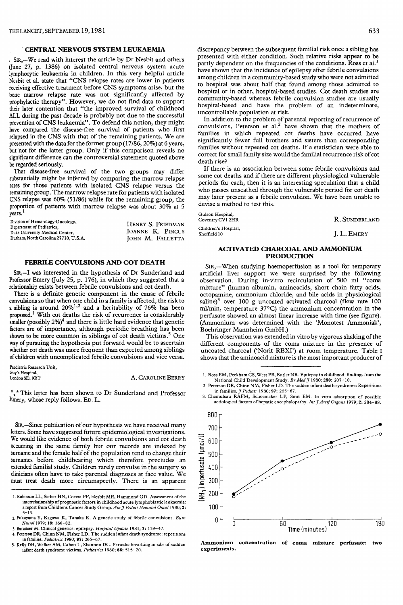#### CENTRAL NERVOUS SYSTEM LEUKAEMIA

SIR,-We read with interest the article by Dr Nesbit and others (June 27, p. 1386) on isolated central nervous system acute lymphocytic leukaemia in children. In this very helpful article Nesbit et aL state that "CNS relapse rates are lower in patients receiving effective treatment before CNS symptoms arise, but the bone marrow relapse rate was not significantly affected by prophylactic therapy". However, we do not find data to support their later contention that "the improved survival of childhood ALL during the past decade is probably not due to the successful prevention of CNS leukaemia". To defend this notion, they might have compared the disease-free survival of patients who first relapsed in the CNS with that of the remaining patients. We are presented with the data for the former group (17/86, 20%) at 6 years, but not for the latter group. Only if this comparison reveals no significant difference can the controversial statement quoted above be regarded seriously.

That disease-free survival of the two groups may differ substantially might be inferred by comparing the marrow relapse rates for those patients with isolated CNS relapse versus the remaining group. The marrow relapse rate for patients with isolated CNS relapse was 60% (51/86) while for the remaining group, the proportion of patients with marrow relapse was about 30% at 5 years. 1

| Division of Hematology-Oncology,<br>Department of Pediatrics, | HENRY S. FRIEDMAN |  |
|---------------------------------------------------------------|-------------------|--|
| Duke University Medical Center,                               | JOANNE K. PINCUS  |  |
| Durham, North Carolina 27710, U.S.A.                          | JOHN M. FALLETTA  |  |

# FEBRILE CONVULSIONS AND COT DEATH

SIR,-I was interested in the hypothesis of Dr Sunderland and Professor Emery (July 25, p. 176), in which they suggested that a relationship exists between febrile convulsions and cot death.

There is a definite genetic component in the cause of febrile convulsions so that when one child in a family is affected, the risk to a sibling is around  $20\%^{1,2}$  and a heritability of 76% has been proposed.<sup>1</sup> With cot deaths the risk of recurrence is considerably smaller (possibly  $2\%)^4$  and there is little hard evidence that genetic factors are of importance, although periodic breathing has been shown to be more common in siblings of cot death victims.<sup>5</sup> One way of pursuing the hypothesis put forward would be to ascertain whether cot death was more frequent than expected among siblings of children with uncomplicated febrile convulsions and vice versa.

| Paediatric Research Unit,        |                   |
|----------------------------------|-------------------|
| Guy's Hospital,<br>London SE19RT | A. CAROLINE BERRY |

\*\*\* This letter has been shown to Dr Sunderland and Professor Emery, whose reply follows. ED. L.

SIR,-Since publication of our hypothesis we have received many letters. Some have suggested future epidemiological investigations. We would like evidence of both febrile convulsions and cot death occurring in the same family but our records are indexed by surname and the female half of the population tend to change their surnames before childbearing which therefore precludes an extended familial study. Children rarely convulse in the surgery so clinicians often have to take parental diagnoses at face value. We must treat death more circumspectly. There is an apparent discrepancy between the subsequent familial risk once a sibling has presented with either condition. Such relative risks appear to be partly dependent on the frequencies of the conditions. Ross et al.<sup>1</sup> have shown that the incidence of epilepsy after febrile convulsions among children in a community-based study who were not admitted to hospital was about half that found among those admitted to hospital or in other, hospital-based studies. Cot death studies are community-based whereas febrile convulsion studies are usually hospital-based and have the problem of an indeterminate, uncontrollable population at risk.

In addition to the problem of parental reporting of recurrence of convulsions, Peterson et al.<sup>2</sup> have shown that the mothers of families in which repeated cot deaths have occurred have significantly fewer full brothers and sisters than corresponding families without repeated cot deaths. If a statistician were able to correct for small family size would the familial recurrence risk of cot death rise?

If there is an association between some febrile convulsions and some cot deaths and if there are different physiological vulnerable periods for each, then it is an interesting speculation that a child who passes unscathed through the vulnerable period for cot death may later present as a febrile convulsion. We have been unable to devise a method to test this.

| Gulson Hospital,<br>Coventry CV1 2HR | R. SUNDERLAND |
|--------------------------------------|---------------|
| Children's Hospital.<br>Sheffield 10 | J. L. EMERY   |

# ACTIVATED CHARCOAL AND AMMONIUM PRODUCTION

SIR,-When studying haemoperfusion as a tool for temporary artificial liver support we were surprised by the following observation. During in-vitro recirculation of 500 ml "coma mixture" (human albumin, aminoacids, short chain fatty acids, octopamine, ammonium chloride, and bile acids in physiological saline)<sup>3</sup> over 100 g uncoated activated charcoal (flow rate  $100$ ml/min, temperature 37°C) the ammonium concentration in the perfusate showed an almost linear increase with time (see figure). (Ammonium was determined with the 'Monotest Ammoniak', Boehringer Mannheim GmbH.)

This observation was extended in vitro by vigorous shaking of the different components of the coma mixture in the presence of uncoated charcoal ('Norit RBXI') at room temperature. Table I shows that the aminoacid mixture is the most important producer of

3. Chamuleau RAFM, Schoemaker LP, Smit EM. In vitro adsorption of possible aetiological factors of hepatic encephalopathy. Int J Artif Organs 1979; 2: 284–88.



Ammonium concentration of coma mixture perfusate: two experiments.

<sup>1.</sup> Robinson LL, Sather HN, Coccia PF, Nesbit ME, Hammond GD. Assessment of the interrelationship of prognostic factors in childhood acute lymphoblastic leukaemia: a report from Childrens Cancer Study Group. Am J Pediat Hematol Oncol 1980; 2: 5-13.

<sup>2.</sup> Fukuyama Y, Kagawa K, Tanaka K. A genetic study of febrile convulsions. Euro Neurol 1979; 18: 166-82.

<sup>3.</sup> Baraitser M. Clinical genetics: epilepsy. Hospital Update 1981; 7: 139-47. 4. Peterson DR, Chinn NM, Fisher LD. The sudden infant death syndrome: repetitions m families. Pediatrics 1980; 97: 265-67.

<sup>5.</sup> Kelly DH, Walker AM, Cahen L, Shannon DC. Periodic breathing in sibs of sudden infant death syndrome victims. Pediatrics 1980; 66: 515-20.

<sup>1.</sup> Ross EM, Peckham CS, West PB, Butler NR. Epilepsy in childhood: findings from the National Child Development Study. Br Med J 1980; 280: 207-10.

<sup>2.</sup> Peterson DR, Chinn NM, Fisher LD. The sudden infant death syndrome: Repetitions in families.  $J$  Pediatr 1980; 97: 265-67.